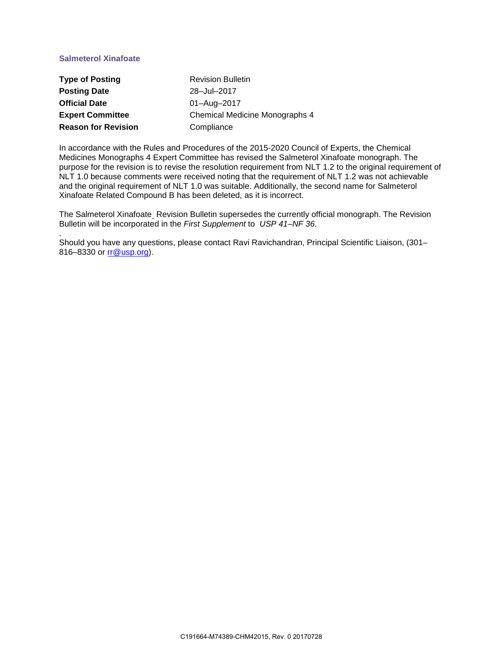## **Salmeterol Xinafoate**

| <b>Type of Posting</b>     | <b>Revision Bulletin</b>       |
|----------------------------|--------------------------------|
| <b>Posting Date</b>        | 28-Jul-2017                    |
| <b>Official Date</b>       | 01-Aug-2017                    |
| <b>Expert Committee</b>    | Chemical Medicine Monographs 4 |
| <b>Reason for Revision</b> | Compliance                     |

In accordance with the Rules and Procedures of the 2015-2020 Council of Experts, the Chemical Medicines Monographs 4 Expert Committee has revised the Salmeterol Xinafoate monograph. The purpose for the revision is to revise the resolution requirement from NLT 1.2 to the original requirement of NLT 1.0 because comments were received noting that the requirement of NLT 1.2 was not achievable and the original requirement of NLT 1.0 was suitable. Additionally, the second name for Salmeterol Xinafoate Related Compound B has been deleted, as it is incorrect.

The Salmeterol Xinafoate Revision Bulletin supersedes the currently official monograph. The Revision Bulletin will be incorporated in the *First Supplement* to *USP 41–NF 36*.

. Should you have any questions, please contact Ravi Ravichandran, Principal Scientific Liaison, (301– 816–8330 or [rr@usp.org\)](mailto:rr@usp.org).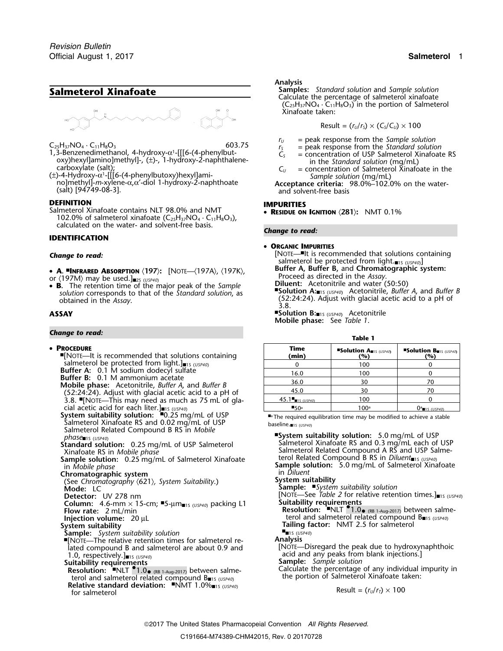

- $C_{25}H_{37}NO_4 \cdot C_{11}H_8O_3$ <br>  $C_{25}H_{37}NO_4 \cdot C_{11}H_8O_3$ <br>  $T_5$  = peak response from the *Standard solution*<br>  $C_5$  = concentration of USP Salmeterol Xinafoate RS 1,3-Benzenedimethanol, 4-hydroxy-α<sup>1</sup>-[[[6-(4-phenylbutoxy)hexyl]amino]methyl]-, (±)-, 1-hydroxy-2-naphthalene-<br>
carboxylate (salt);<br>
(±)-4-Hydroxy-a<sup>1</sup>-[[[6-(4-phenylbutoxy)hexyl]ami-<br>
(2) = concentration of Salmeterol Xinafoate in the<br>
Sample solution (mg/mL)
- (±)-4-Hydroxy-α<sup>1</sup>-[[[6-(4-phenylbutoxy)hexyl]ami-<br>| no]methyl]-*m*-xylene-α,α'-diol 1-hydroxy-2-naphthoate | **Acceptance criteria:** 98.0%–102.0% on the water<br>| and solvent-free basis

### **DEFINITION IMPURITIES**

Salmeterol Xinafoate contains NLT 98.0% and NMT 102.0% of salmeterol xinafoate  $(C_{25}H_{37}NO_4 \cdot C_{11}H_8O_3)$ , calculated on the water- and solvent-free basis.

### **IDENTIFICATION**

- A. **"Infrared Absorption**  $\langle 197 \rangle$ : [Note- $\langle 197A \rangle$ ,  $\langle 197K \rangle$ , • **A. "INFRARED ABSORPTION** (197): [NOTE—(197A), (197K), Buffer A, Buffer B, and Chromatographic system:<br>or (197M) may be used.  $\frac{1}{2}$  (Is (USP40)<br>• **B.** The retention time of the maior peak of the *Sample* **Diluent:**
- **B.** The retention time of the major peak of the *Sample* solution corresponds to that of the *Standard solution*, as **Solution** Corresponds to that of the *Standard solution*, as<br>solution corresponds to that of the *Standard solution*, as<br>obtained in the *Assay*.<br> $(52:24:24)$ . Adjust with glacial acetic acid to a pH of<br>3.8.

# *Change to read:* **Table 1**

- salmeterol be protected from light.]■1S (USP40) **Buffer A:** 0.1 M sodium dodecyl sulfate<br> **Buffer B:** 0.1 M ammonium acetate<br> **Mobile phase:** Acetonitrile, *Buffer A*, and *Buffer B* (52:24:24). Adjust with glacial acetic acid to a pH of 3.8. ■[NOTE—This may need as much as 75 mL of gla-
- **System suitability solution: ■0.25 mg/mL of USP ■..............................** Salmeterol Xinafoate RS and 0.02 mg/mL of USP<br>Salmeterol Related Compound B RS in *Mobile* baseline.<sub>■1S (*USP40*)</sub>
- 
- **Sample solution:** 0.25 mg/mL of Salmeterol Xinafoate in *Mobile phase*
- 
- **Chromatographic system**<br>(See Chromatography (621), System Suitability.) **System suitability** (See Chromatography  $\langle 621 \rangle$ , System Suitability.) **Mode:** LC
- 
- **Column:** 4.6-mm × 15-cm; ■5-μm<sub>■1S (*USP40*) packing L1 **Flow rate:** 2 mL/min</sub>
- 
- 
- 
- **System suitability**<br> **Sample:** *System suitability solution*<br>
■IS (USP40)<br>
■NOTE—The relative retention times for salmeterol re- **Analysis**
- 1.0, respectively.] acid and any peaks from blank injections.] ■1S (*USP40*)
- 
- **Relative standard deviation:** ■NMT 1.0%<sub>■1S (*USP40*) **Result = (***r<sub>U</sub>/r<sub>T</sub>) × 100* for salmeterol</sub>

Analysis<br>Samples: Standard solution and Sample solution **Salmeterol Xinafoate Salmeterol Samples:** *Standard solution* and *Sample solution*<br>Calculate the percentage of salmeterol xinafoate  $(C_{25}H_{37}NO_4 \cdot C_{11}H_8O_3)$  in the portion of Salmeterol Xinafoate taken:

$$
Result = (r_U/r_S) \times (C_S/C_U) \times 100
$$

- 
- 
- 
- 
- 

**RESIDUE ON IGNITION** 〈**281**〉**:** NMT 0.1%

### *Change to read:*

### • **ORGANIC IMPURITIES**

- [NOTE—■ *Change to read:* .It is recommended that solutions containing salmeterol be protected from light.■1S (*USP40*)]
	-
	-
- **ASSAY .Solution B:**■1S (*USP40***)** Acetonitrile **Mobile phase:** See *Table 1*.

| • PROCEDURE<br>$\blacksquare$ Note—It is recommended that solutions containing                               | Time<br>(min)        | <b>Solution A</b> <sub><math>\text{II}</math>15 (USP40)</sub><br>(%) | <b>Solution B</b> $(USP40)$<br>(%) |
|--------------------------------------------------------------------------------------------------------------|----------------------|----------------------------------------------------------------------|------------------------------------|
| salmeterol be protected from light.] $\blacksquare$ 15 (USP40)                                               |                      | 100                                                                  |                                    |
| Buffer A: 0.1 M sodium dodecyl sulfate                                                                       | 16.0                 | 100                                                                  |                                    |
| <b>Buffer B:</b> 0.1 M ammonium acetate                                                                      | 36.0                 | 30                                                                   | 70                                 |
| Mobile phase: Acetonitrile, Buffer A, and Buffer B<br>(52:24:24). Adjust with glacial acetic acid to a pH of | 45.0                 | 30                                                                   | 70                                 |
| 3.8. NOTE-This may need as much as 75 mL of gla-                                                             | $45.1$ ans $(USP40)$ | 100                                                                  |                                    |
| cial acetic acid for each liter.] $\Box$ <sub>15 (USP40)</sub>                                               | $\blacksquare$ 50a   | 100a                                                                 | $0^a$ 15 (USP40)                   |

 $^\mathrm{a}\!$  The required equilibration time may be modified to achieve a stable

- Salmeterol Related Compound B RS in *Mobile <sup>p</sup>hase* **.System suitability solution:** 5.0 mg/mL of USP ■1S (*USP40*) **Standard solution:** 0.25 mg/mL of USP Salmeterol Salmeterol Xinafoate RS and 0.3 mg/mL each of USP Xinafoate RS and USP Salme-<br>Xinafoate RS in *Mobile phase* Salmeterol Related Compound A RS and USP Salme-Salmeterol Related Compound A RS and USP Salmeterol Related Compound B RS in *Diluent*<sub>18</sub> (USP40) **Sample solution:** 5.0 mg/mL of Salmeterol Xinafoate in *Diluent* 
	-
	- **Sample: ■** System suitability solution
- **Detector:** UV 278 nm
- Suitability requirements<br>
Resolution:  $\blacksquare$ NLT  $\blacksquare$ 1.0<br>
Resolution:  $\blacksquare$ NLT  $\blacksquare$ 1.0<br>  $\blacksquare$ Injection volume: 20 μL<br>
Injection volume: 20 μL<br>
System suitability and Equal terol and salmeterol related compound B<sub>■1S (*USP40*)</sub>

# ■1S (*USP40*)

- 
- lated compound B and salmeterol are about 0.9 and [NOTE—Disregard the peak due to hydroxynaphthoic acid and any peaks from blank injections.]
	-
- **Sample:** Sample solution<br> **Resolution:** FNLT 1.0 (RB 1-Aug-2017) between salme-<br>
terol and salmeterol related compound  $B_{\blacksquare 1s}$  (USP40)<br>
the portion of Salmeterol Xinafoate taken:<br>
the portion of Salmeterol Xinafoate